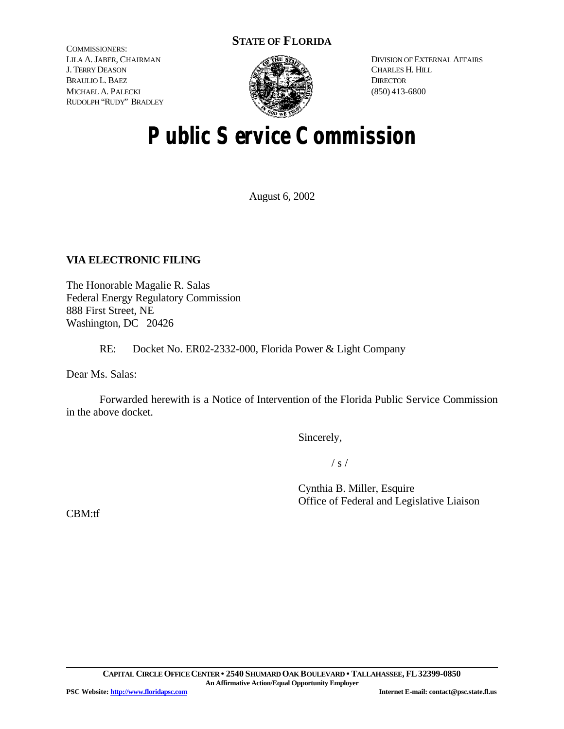# **STATE OF FLORIDA**

COMMISSIONERS: LILA A. JABER, CHAIRMAN J. TERRY DEASON BRAULIO L. BAEZ MICHAEL A. PALECKI RUDOLPH "RUDY" BRADLEY



DIVISION OF EXTERNAL AFFAIRS CHARLES H. HILL **DIRECTOR** (850) 413-6800

# **Public Service Commission**

August 6, 2002

# **VIA ELECTRONIC FILING**

The Honorable Magalie R. Salas Federal Energy Regulatory Commission 888 First Street, NE Washington, DC 20426

RE: Docket No. ER02-2332-000, Florida Power & Light Company

Dear Ms. Salas:

Forwarded herewith is a Notice of Intervention of the Florida Public Service Commission in the above docket.

Sincerely,

 $/ s /$ 

Cynthia B. Miller, Esquire Office of Federal and Legislative Liaison

CBM:tf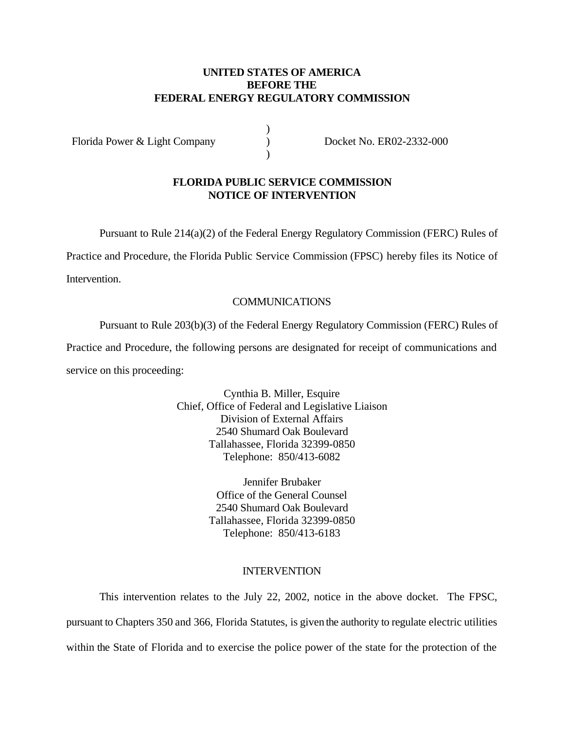## **UNITED STATES OF AMERICA BEFORE THE FEDERAL ENERGY REGULATORY COMMISSION**

)  $\mathcal{L}$ )

Florida Power & Light Company

Docket No. ER02-2332-000

#### **FLORIDA PUBLIC SERVICE COMMISSION NOTICE OF INTERVENTION**

Pursuant to Rule 214(a)(2) of the Federal Energy Regulatory Commission (FERC) Rules of

Practice and Procedure, the Florida Public Service Commission (FPSC) hereby files its Notice of

Intervention.

# COMMUNICATIONS

Pursuant to Rule 203(b)(3) of the Federal Energy Regulatory Commission (FERC) Rules of Practice and Procedure, the following persons are designated for receipt of communications and service on this proceeding:

> Cynthia B. Miller, Esquire Chief, Office of Federal and Legislative Liaison Division of External Affairs 2540 Shumard Oak Boulevard Tallahassee, Florida 32399-0850 Telephone: 850/413-6082

> > Jennifer Brubaker Office of the General Counsel 2540 Shumard Oak Boulevard Tallahassee, Florida 32399-0850 Telephone: 850/413-6183

## INTERVENTION

This intervention relates to the July 22, 2002, notice in the above docket. The FPSC, pursuant to Chapters 350 and 366, Florida Statutes, is given the authority to regulate electric utilities within the State of Florida and to exercise the police power of the state for the protection of the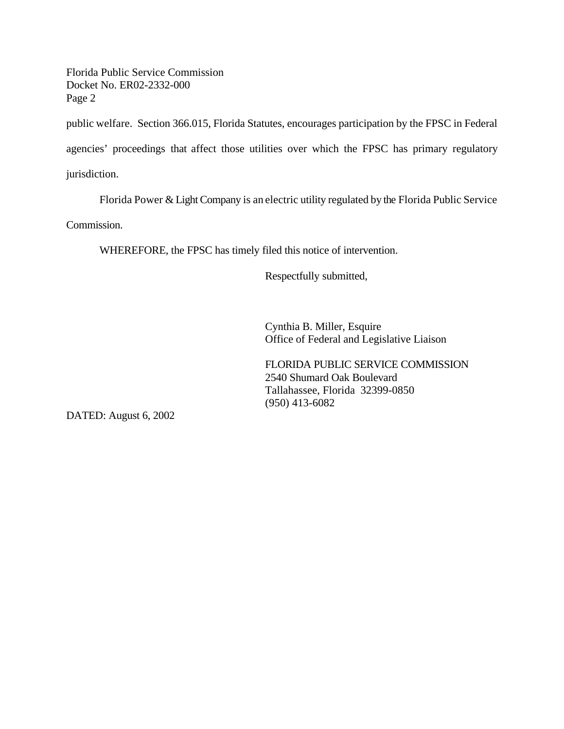Florida Public Service Commission Docket No. ER02-2332-000 Page 2

public welfare. Section 366.015, Florida Statutes, encourages participation by the FPSC in Federal

agencies' proceedings that affect those utilities over which the FPSC has primary regulatory

jurisdiction.

Florida Power  $&$  Light Company is an electric utility regulated by the Florida Public Service

Commission.

WHEREFORE, the FPSC has timely filed this notice of intervention.

Respectfully submitted,

Cynthia B. Miller, Esquire Office of Federal and Legislative Liaison

FLORIDA PUBLIC SERVICE COMMISSION 2540 Shumard Oak Boulevard Tallahassee, Florida 32399-0850 (950) 413-6082

DATED: August 6, 2002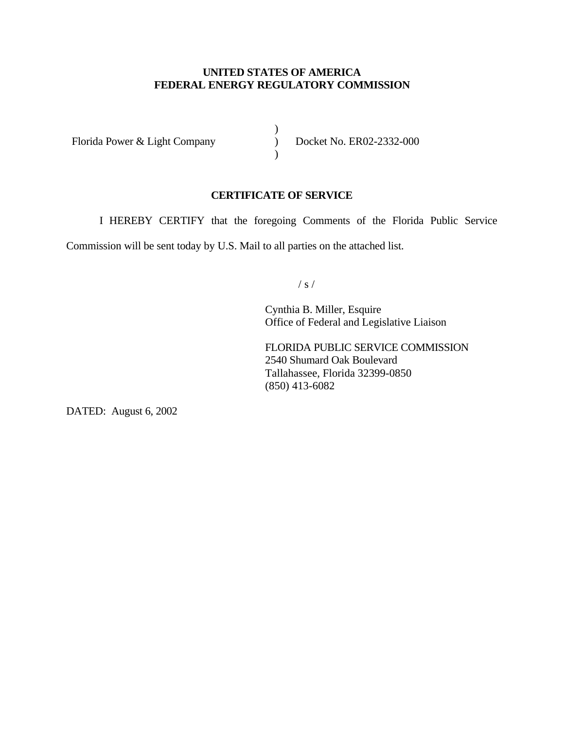# **UNITED STATES OF AMERICA FEDERAL ENERGY REGULATORY COMMISSION**

)  $\overline{)}$  $\lambda$ 

Florida Power & Light Company

Docket No. ER02-2332-000

## **CERTIFICATE OF SERVICE**

I HEREBY CERTIFY that the foregoing Comments of the Florida Public Service

Commission will be sent today by U.S. Mail to all parties on the attached list.

/ s /

Cynthia B. Miller, Esquire Office of Federal and Legislative Liaison

FLORIDA PUBLIC SERVICE COMMISSION 2540 Shumard Oak Boulevard Tallahassee, Florida 32399-0850 (850) 413-6082

DATED: August 6, 2002